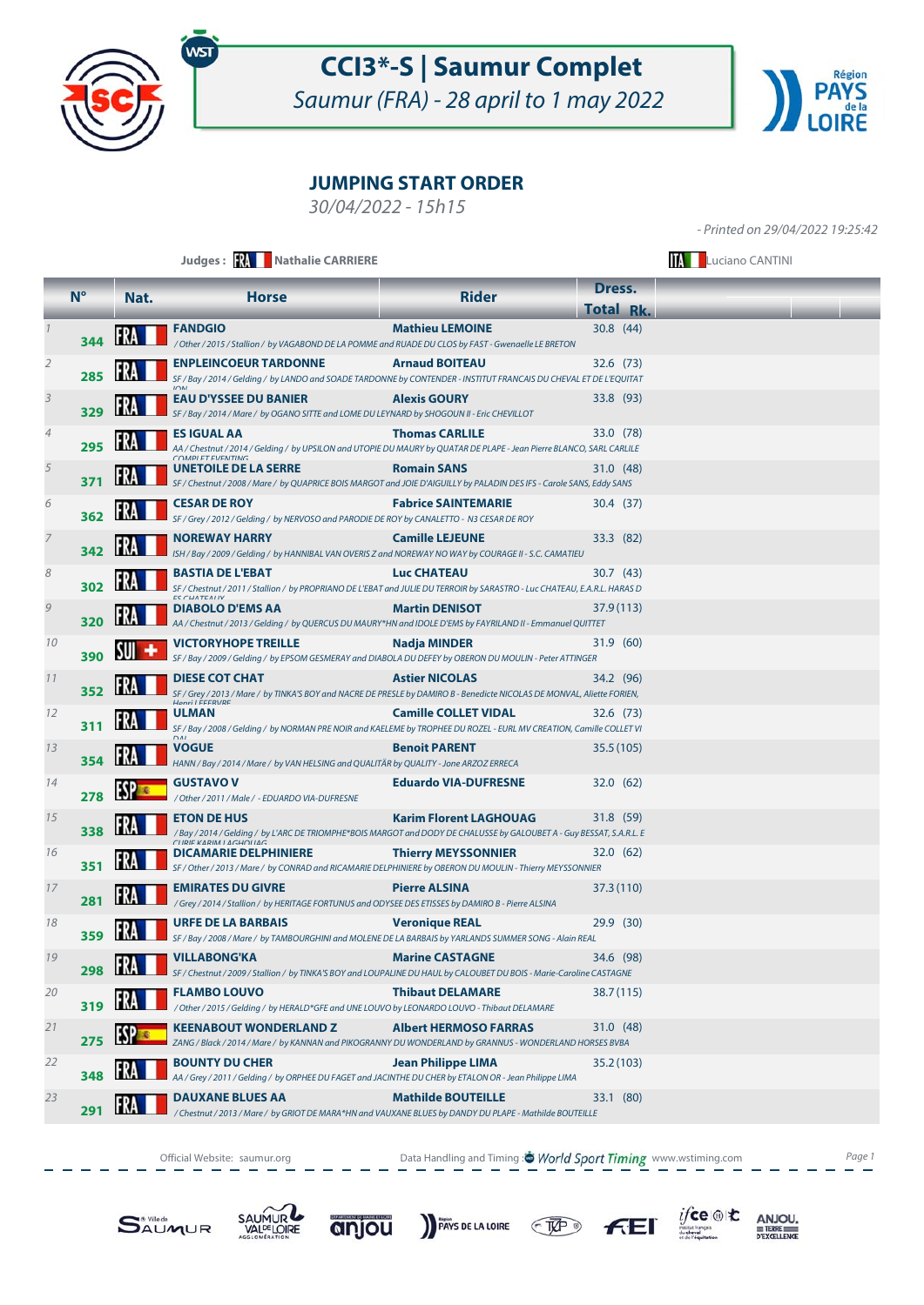

Saumur (FRA) - 28 april to 1 may 2022



### **JUMPING START ORDER**

30/04/2022 - 15h15

- Printed on 29/04/2022 19:25:42

|               |             |      | Judges: W Nathalie CARRIERE                                                                                                                                                                                    |                               | <b>Luciano CANTINI</b> |  |  |
|---------------|-------------|------|----------------------------------------------------------------------------------------------------------------------------------------------------------------------------------------------------------------|-------------------------------|------------------------|--|--|
|               | $N^{\circ}$ | Nat. | <b>Horse</b>                                                                                                                                                                                                   | <b>Rider</b>                  | Dress.                 |  |  |
|               |             |      |                                                                                                                                                                                                                |                               | <b>Total Rk.</b>       |  |  |
|               | 344         |      | <b>FANDGIO</b><br>/ Other / 2015 / Stallion / by VAGABOND DE LA POMME and RUADE DU CLOS by FAST - Gwenaelle LE BRETON                                                                                          | <b>Mathieu LEMOINE</b>        | 30.8(44)               |  |  |
| 2             | 285         |      | <b>ENPLEINCOEUR TARDONNE</b><br>SF / Bay / 2014 / Gelding / by LANDO and SOADE TARDONNE by CONTENDER - INSTITUT FRANCAIS DU CHEVAL ET DE L'EQUITAT                                                             | <b>Arnaud BOITEAU</b>         | 32.6(73)               |  |  |
| 3             | 329         |      | <b>EAU D'YSSEE DU BANIER</b><br>SF / Bay / 2014 / Mare / by OGANO SITTE and LOME DU LEYNARD by SHOGOUN II - Eric CHEVILLOT                                                                                     | <b>Alexis GOURY</b>           | 33.8 (93)              |  |  |
| 4             | 295         |      | <b>ES IGUAL AA</b><br>AA / Chestnut / 2014 / Gelding / by UPSILON and UTOPIE DU MAURY by QUATAR DE PLAPE - Jean Pierre BLANCO, SARL CARLILE                                                                    | <b>Thomas CARLILE</b>         | 33.0 (78)              |  |  |
| 5             | 371         |      | COMMOI ET EVENITING<br>UNETOILE DE LA SERRE<br>SF / Chestnut / 2008 / Mare / by QUAPRICE BOIS MARGOT and JOIE D'AIGUILLY by PALADIN DES IFS - Carole SANS, Eddy SANS                                           | <b>Romain SANS</b>            | 31.0 (48)              |  |  |
| 6             | 362         |      | <b>CESAR DE ROY</b><br>SF / Grey / 2012 / Gelding / by NERVOSO and PARODIE DE ROY by CANALETTO - N3 CESAR DE ROY                                                                                               | <b>Fabrice SAINTEMARIE</b>    | 30.4 (37)              |  |  |
|               | 342         |      | <b>NOREWAY HARRY</b><br>ISH / Bay / 2009 / Gelding / by HANNIBAL VAN OVERIS Z and NOREWAY NO WAY by COURAGE II - S.C. CAMATIEU                                                                                 | <b>Camille LEJEUNE</b>        | 33.3 (82)              |  |  |
| 8             | 302         |      | <b>BASTIA DE L'EBAT</b><br>SF / Chestnut / 2011 / Stallion / by PROPRIANO DE L'EBAT and JULIE DU TERROIR by SARASTRO - Luc CHATEAU, E.A.R.L. HARAS D<br>$EC$ $CUMTEAIN$                                        | <b>Luc CHATEAU</b>            | 30.7(43)               |  |  |
| $\mathcal{G}$ | 320         |      | <b>DIABOLO D'EMS AA</b><br>AA / Chestnut / 2013 / Gelding / by QUERCUS DU MAURY*HN and IDOLE D'EMS by FAYRILAND II - Emmanuel QUITTET                                                                          | <b>Martin DENISOT</b>         | 37.9 (113)             |  |  |
| 10            | 390         |      | <b>VICTORYHOPE TREILLE</b><br>SF / Bay / 2009 / Gelding / by EPSOM GESMERAY and DIABOLA DU DEFEY by OBERON DU MOULIN - Peter ATTINGER                                                                          | Nadja MINDER                  | 31.9(60)               |  |  |
| 11            | 352         |      | <b>DIESE COT CHAT</b><br>SF / Grey / 2013 / Mare / by TINKA'S BOY and NACRE DE PRESLE by DAMIRO B - Benedicte NICOLAS DE MONVAL, Aliette FORIEN,<br>Unnri I EEEDIJDE                                           | <b>Astier NICOLAS</b>         | 34.2 (96)              |  |  |
| 12            | 311         |      | <b>ULMAN</b><br>SF / Bay / 2008 / Gelding / by NORMAN PRE NOIR and KAELEME by TROPHEE DU ROZEL - EURL MV CREATION, Camille COLLET VI<br>$\sum$                                                                 | <b>Camille COLLET VIDAL</b>   | 32.6 (73)              |  |  |
| 13            | 354         |      | <b>VOGUE</b><br>HANN / Bay / 2014 / Mare / by VAN HELSING and QUALITÄR by QUALITY - Jone ARZOZ ERRECA                                                                                                          | <b>Benoit PARENT</b>          | 35.5 (105)             |  |  |
| 14            | 278         |      | <b>GUSTAVO V</b><br>/ Other / 2011 / Male / - EDUARDO VIA-DUFRESNE                                                                                                                                             | <b>Eduardo VIA-DUFRESNE</b>   | 32.0(62)               |  |  |
| 15            | 338         |      | <b>ETON DE HUS</b><br>/ Bay / 2014 / Gelding / by L'ARC DE TRIOMPHE*BOIS MARGOT and DODY DE CHALUSSE by GALOUBET A - Guy BESSAT, S.A.R.L. E<br>$C[1D]$ $E$ $V$ $A$ $D$ $M$ $I$ $A$ $C$ $H$ $O$ $I$ $I$ $A$ $C$ | <b>Karim Florent LAGHOUAG</b> | 31.8 (59)              |  |  |
| 16            | 351         |      | <b>DICAMARIE DELPHINIERE</b><br>SF / Other / 2013 / Mare / by CONRAD and RICAMARIE DELPHINIERE by OBERON DU MOULIN - Thierry MEYSSONNIER                                                                       | <b>Thierry MEYSSONNIER</b>    | 32.0(62)               |  |  |
| 17            | 281         |      | <b>EMIRATES DU GIVRE</b><br>/ Grey / 2014 / Stallion / by HERITAGE FORTUNUS and ODYSEE DES ETISSES by DAMIRO B - Pierre ALSINA                                                                                 | <b>Pierre ALSINA</b>          | 37.3 (110)             |  |  |
| 18            | 359         |      | <b>URFE DE LA BARBAIS</b><br>SF / Bay / 2008 / Mare / by TAMBOURGHINI and MOLENE DE LA BARBAIS by YARLANDS SUMMER SONG - Alain REAL                                                                            | <b>Veronique REAL</b>         | 29.9 (30)              |  |  |
| 19            | 298         |      | <b>VILLABONG'KA</b><br>SF / Chestnut / 2009 / Stallion / by TINKA'S BOY and LOUPALINE DU HAUL by CALOUBET DU BOIS - Marie-Caroline CASTAGNE                                                                    | <b>Marine CASTAGNE</b>        | 34.6 (98)              |  |  |
| 20            | 319         |      | <b>FLAMBO LOUVO</b><br>/ Other / 2015 / Gelding / by HERALD*GFE and UNE LOUVO by LEONARDO LOUVO - Thibaut DELAMARE                                                                                             | <b>Thibaut DELAMARE</b>       | 38.7 (115)             |  |  |
| 21            | 275         |      | <b>KEENABOUT WONDERLAND Z</b><br>ZANG / Black / 2014 / Mare / by KANNAN and PIKOGRANNY DU WONDERLAND by GRANNUS - WONDERLAND HORSES BVBA                                                                       | <b>Albert HERMOSO FARRAS</b>  | 31.0 (48)              |  |  |
| 22            | 348         |      | <b>BOUNTY DU CHER</b><br>AA / Grey / 2011 / Gelding / by ORPHEE DU FAGET and JACINTHE DU CHER by ETALON OR - Jean Philippe LIMA                                                                                | <b>Jean Philippe LIMA</b>     | 35.2 (103)             |  |  |
| 23            | 291         |      | <b>DAUXANE BLUES AA</b><br>/ Chestnut / 2013 / Mare / by GRIOT DE MARA*HN and VAUXANE BLUES by DANDY DU PLAPE - Mathilde BOUTEILLE                                                                             | <b>Mathilde BOUTEILLE</b>     | 33.1 (80)              |  |  |

Official Website: saumur.org **Data Handling and Timing : World Sport Timing** www.wstiming.com Page 1







PAYS DE LA LOIRE TAP





ANJOU. TERRE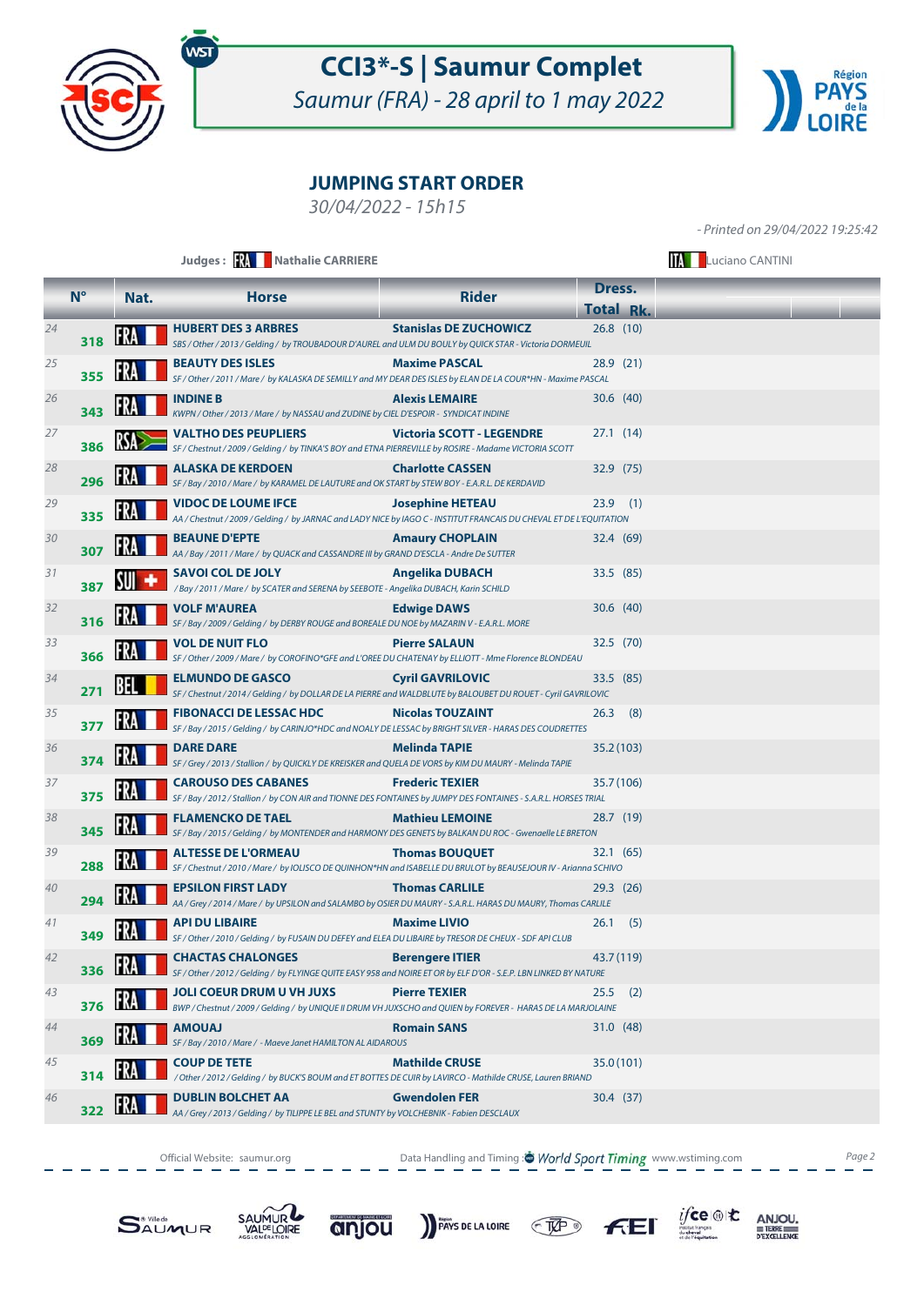

Saumur (FRA) - 28 april to 1 may 2022



### **JUMPING START ORDER**

30/04/2022 - 15h15

- Printed on 29/04/2022 19:25:42

|    |             |      | Judges: W Nathalie CARRIERE                                                                                                                       |                                  |                  | <b>Luciano CANTINI</b> |
|----|-------------|------|---------------------------------------------------------------------------------------------------------------------------------------------------|----------------------------------|------------------|------------------------|
|    | $N^{\circ}$ | Nat. | <b>Horse</b>                                                                                                                                      | <b>Rider</b>                     | Dress.           |                        |
|    |             |      |                                                                                                                                                   |                                  | <b>Total Rk.</b> |                        |
| 24 | 318         |      | <b>HUBERT DES 3 ARBRES</b><br>SBS / Other / 2013 / Gelding / by TROUBADOUR D'AUREL and ULM DU BOULY by QUICK STAR - Victoria DORMEUIL             | <b>Stanislas DE ZUCHOWICZ</b>    | 26.8(10)         |                        |
| 25 | 355         |      | <b>BEAUTY DES ISLES</b><br>SF / Other / 2011 / Mare / by KALASKA DE SEMILLY and MY DEAR DES ISLES by ELAN DE LA COUR*HN - Maxime PASCAL           | <b>Maxime PASCAL</b>             | 28.9(21)         |                        |
| 26 | 343         |      | <b>INDINE B</b><br>KWPN / Other / 2013 / Mare / by NASSAU and ZUDINE by CIEL D'ESPOIR - SYNDICAT INDINE                                           | <b>Alexis LEMAIRE</b>            | 30.6(40)         |                        |
| 27 | 386         |      | <b>VALTHO DES PEUPLIERS</b><br>SF / Chestnut / 2009 / Gelding / by TINKA'S BOY and ETNA PIERREVILLE by ROSIRE - Madame VICTORIA SCOTT             | <b>Victoria SCOTT - LEGENDRE</b> | 27.1(14)         |                        |
| 28 | 296         |      | <b>ALASKA DE KERDOEN</b><br>SF / Bay / 2010 / Mare / by KARAMEL DE LAUTURE and OK START by STEW BOY - E.A.R.L. DE KERDAVID                        | <b>Charlotte CASSEN</b>          | 32.9 (75)        |                        |
| 29 | 335         |      | <b>VIDOC DE LOUME IFCE</b><br>AA / Chestnut / 2009 / Gelding / by JARNAC and LADY NICE by IAGO C - INSTITUT FRANCAIS DU CHEVAL ET DE L'EQUITATION | <b>Josephine HETEAU</b>          | $23.9$ (1)       |                        |
| 30 | 307         |      | <b>BEAUNE D'EPTE</b><br>AA / Bay / 2011 / Mare / by QUACK and CASSANDRE III by GRAND D'ESCLA - Andre De SUTTER                                    | <b>Amaury CHOPLAIN</b>           | 32.4 (69)        |                        |
| 31 | 387         |      | <b>SAVOI COL DE JOLY</b><br>/ Bay / 2011 / Mare / by SCATER and SERENA by SEEBOTE - Angelika DUBACH, Karin SCHILD                                 | <b>Angelika DUBACH</b>           | 33.5 (85)        |                        |
| 32 | 316         |      | <b>VOLF M'AUREA</b><br>SF / Bay / 2009 / Gelding / by DERBY ROUGE and BOREALE DU NOE by MAZARIN V - E.A.R.L. MORE                                 | <b>Edwige DAWS</b>               | 30.6(40)         |                        |
| 33 | 366         |      | <b>VOL DE NUIT FLO</b><br>SF / Other / 2009 / Mare / by COROFINO*GFE and L'OREE DU CHATENAY by ELLIOTT - Mme Florence BLONDEAU                    | <b>Pierre SALAUN</b>             | 32.5(70)         |                        |
| 34 | 271         | BEL  | <b>ELMUNDO DE GASCO</b><br>SF / Chestnut / 2014 / Gelding / by DOLLAR DE LA PIERRE and WALDBLUTE by BALOUBET DU ROUET - Cyril GAVRILOVIC          | <b>Cyril GAVRILOVIC</b>          | 33.5 (85)        |                        |
| 35 | 377         |      | <b>FIBONACCI DE LESSAC HDC</b><br>SF / Bay / 2015 / Gelding / by CARINJO*HDC and NOALY DE LESSAC by BRIGHT SILVER - HARAS DES COUDRETTES          | <b>Nicolas TOUZAINT</b>          | 26.3<br>(8)      |                        |
| 36 | 374         |      | <b>DARE DARE</b><br>SF / Grey / 2013 / Stallion / by QUICKLY DE KREISKER and QUELA DE VORS by KIM DU MAURY - Melinda TAPIE                        | Melinda TAPIE                    | 35.2 (103)       |                        |
| 37 | 375         |      | <b>CAROUSO DES CABANES</b><br>SF / Bay / 2012 / Stallion / by CON AIR and TIONNE DES FONTAINES by JUMPY DES FONTAINES - S.A.R.L. HORSES TRIAL     | <b>Frederic TEXIER</b>           | 35.7 (106)       |                        |
| 38 | 345         |      | <b>FLAMENCKO DE TAEL</b><br>SF / Bay / 2015 / Gelding / by MONTENDER and HARMONY DES GENETS by BALKAN DU ROC - Gwenaelle LE BRETON                | <b>Mathieu LEMOINE</b>           | 28.7 (19)        |                        |
| 39 | 288         |      | <b>ALTESSE DE L'ORMEAU</b><br>SF / Chestnut / 2010 / Mare / by IOLISCO DE QUINHON*HN and ISABELLE DU BRULOT by BEAUSEJOUR IV - Arianna SCHIVO     | <b>Thomas BOUQUET</b>            | 32.1(65)         |                        |
| 40 | 294         |      | <b>EPSILON FIRST LADY</b><br>AA / Grey / 2014 / Mare / by UPSILON and SALAMBO by OSIER DU MAURY - S.A.R.L. HARAS DU MAURY, Thomas CARLILE         | <b>Thomas CARLILE</b>            | 29.3(26)         |                        |
| 41 | 349         |      | <b>API DU LIBAIRE</b><br>SF / Other / 2010 / Gelding / by FUSAIN DU DEFEY and ELEA DU LIBAIRE by TRESOR DE CHEUX - SDF API CLUB                   | <b>Maxime LIVIO</b>              | $26.1$ (5)       |                        |
| 42 | 336         |      | <b>CHACTAS CHALONGES</b><br>SF / Other / 2012 / Gelding / by FLYINGE QUITE EASY 958 and NOIRE ET OR by ELF D'OR - S.E.P. LBN LINKED BY NATURE     | <b>Berengere ITIER</b>           | 43.7 (119)       |                        |
| 43 | 376         |      | <b>JOLI COEUR DRUM U VH JUXS</b><br>BWP / Chestnut / 2009 / Gelding / by UNIQUE II DRUM VH JUXSCHO and QUIEN by FOREVER - HARAS DE LA MARJOLAINE  | <b>Pierre TEXIER</b>             | 25.5<br>(2)      |                        |
| 44 | 369         |      | <b>AMOUAJ</b><br>SF / Bay / 2010 / Mare / - Maeve Janet HAMILTON AL AIDAROUS                                                                      | <b>Romain SANS</b>               | 31.0 (48)        |                        |
| 45 | 314         |      | <b>COUP DE TETE</b><br>/ Other / 2012 / Gelding / by BUCK'S BOUM and ET BOTTES DE CUIR by LAVIRCO - Mathilde CRUSE, Lauren BRIAND                 | <b>Mathilde CRUSE</b>            | 35.0 (101)       |                        |
| 46 | 322         |      | <b>DUBLIN BOLCHET AA</b><br>AA / Grey / 2013 / Gelding / by TILIPPE LE BEL and STUNTY by VOLCHEBNIK - Fabien DESCLAUX                             | <b>Gwendolen FER</b>             | 30.4 (37)        |                        |

Official Website: saumur.org **Data Handling and Timing : World Sport Timing** www.wstiming.com Page 2







PAYS DE LA LOIRE TAP



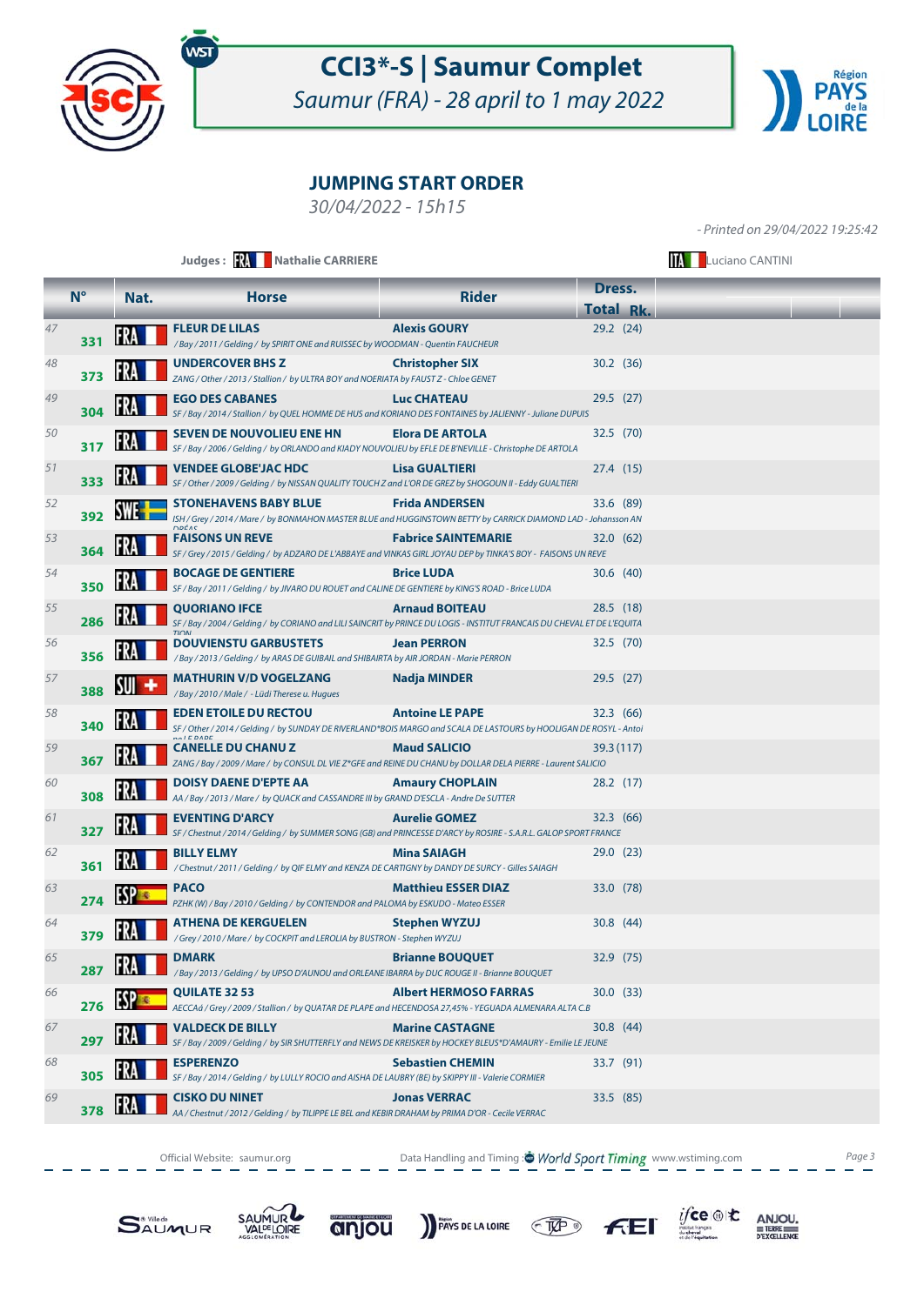

Saumur (FRA) - 28 april to 1 may 2022



### **JUMPING START ORDER**

30/04/2022 - 15h15

- Printed on 29/04/2022 19:25:42

|    |             |      | Judges: <b>XX</b> Nathalie CARRIERE                                                                                                                            | <b>Luciano CANTINI</b>       |                                   |  |
|----|-------------|------|----------------------------------------------------------------------------------------------------------------------------------------------------------------|------------------------------|-----------------------------------|--|
|    | $N^{\circ}$ | Nat. | <b>Horse</b>                                                                                                                                                   | <b>Rider</b>                 | Dress.                            |  |
| 47 | 331         |      | <b>FLEUR DE LILAS</b><br>/Bay / 2011 / Gelding / by SPIRIT ONE and RUISSEC by WOODMAN - Quentin FAUCHEUR                                                       | <b>Alexis GOURY</b>          | <b>Total Rk.</b><br>$29.2$ $(24)$ |  |
| 48 | 373         |      | <b>UNDERCOVER BHS Z</b><br>ZANG / Other / 2013 / Stallion / by ULTRA BOY and NOERIATA by FAUST Z - Chloe GENET                                                 | <b>Christopher SIX</b>       | 30.2 (36)                         |  |
| 49 | 304         |      | <b>EGO DES CABANES</b><br>SF / Bay / 2014 / Stallion / by QUEL HOMME DE HUS and KORIANO DES FONTAINES by JALIENNY - Juliane DUPUIS                             | <b>Luc CHATEAU</b>           | 29.5(27)                          |  |
| 50 | 317         |      | <b>SEVEN DE NOUVOLIEU ENE HN</b><br>SF / Bay / 2006 / Gelding / by ORLANDO and KIADY NOUVOLIEU by EFLE DE B'NEVILLE - Christophe DE ARTOLA                     | <b>Elora DE ARTOLA</b>       | 32.5(70)                          |  |
| 51 | 333         |      | <b>VENDEE GLOBE'JAC HDC</b><br>SF / Other / 2009 / Gelding / by NISSAN QUALITY TOUCH Z and L'OR DE GREZ by SHOGOUN II - Eddy GUALTIERI                         | <b>Lisa GUALTIERI</b>        | 27.4 (15)                         |  |
| 52 | 392         |      | <b>STONEHAVENS BABY BLUE</b><br>ISH / Grey / 2014 / Mare / by BONMAHON MASTER BLUE and HUGGINSTOWN BETTY by CARRICK DIAMOND LAD - Johansson AN<br><b>DDÉAC</b> | <b>Frida ANDERSEN</b>        | 33.6 (89)                         |  |
| 53 | 364         |      | <b>FAISONS UN REVE</b><br>SF / Grey / 2015 / Gelding / by ADZARO DE L'ABBAYE and VINKAS GIRL JOYAU DEP by TINKA'S BOY - FAISONS UN REVE                        | <b>Fabrice SAINTEMARIE</b>   | 32.0 (62)                         |  |
| 54 | 350         |      | <b>BOCAGE DE GENTIERE</b><br>SF / Bay / 2011 / Gelding / by JIVARO DU ROUET and CALINE DE GENTIERE by KING'S ROAD - Brice LUDA                                 | <b>Brice LUDA</b>            | 30.6 (40)                         |  |
| 55 | 286         |      | <b>QUORIANO IFCE</b><br>SF / Bay / 2004 / Gelding / by CORIANO and LILI SAINCRIT by PRINCE DU LOGIS - INSTITUT FRANCAIS DU CHEVAL ET DE L'EQUITA               | <b>Arnaud BOITEAU</b>        | 28.5 (18)                         |  |
| 56 | 356         |      | <b>DOUVIENSTU GARBUSTETS</b><br>/Bay / 2013 / Gelding / by ARAS DE GUIBAIL and SHIBAIRTA by AIR JORDAN - Marie PERRON                                          | <b>Jean PERRON</b>           | 32.5 (70)                         |  |
| 57 | 388         | SUI  | <b>MATHURIN V/D VOGELZANG</b><br>/ Bay / 2010 / Male / - Lüdi Therese u. Hugues                                                                                | <b>Nadja MINDER</b>          | 29.5(27)                          |  |
| 58 | 340         |      | <b>EDEN ETOILE DU RECTOU</b><br>SF / Other / 2014 / Gelding / by SUNDAY DE RIVERLAND*BOIS MARGO and SCALA DE LASTOURS by HOOLIGAN DE ROSYL - Antoi             | <b>Antoine LE PAPE</b>       | 32.3 (66)                         |  |
| 59 | 367         | IFRA | <b>CANELLE DU CHANU Z</b><br>ZANG / Bay / 2009 / Mare / by CONSUL DL VIE Z*GFE and REINE DU CHANU by DOLLAR DELA PIERRE - Laurent SALICIO                      | <b>Maud SALICIO</b>          | 39.3 (117)                        |  |
| 60 | 308         |      | DOISY DAENE D'EPTE AA<br>AA / Bay / 2013 / Mare / by QUACK and CASSANDRE III by GRAND D'ESCLA - Andre De SUTTER                                                | <b>Amaury CHOPLAIN</b>       | 28.2 (17)                         |  |
| 61 | 327         |      | <b>EVENTING D'ARCY</b><br>SF / Chestnut / 2014 / Gelding / by SUMMER SONG (GB) and PRINCESSE D'ARCY by ROSIRE - S.A.R.L. GALOP SPORT FRANCE                    | <b>Aurelie GOMEZ</b>         | 32.3 (66)                         |  |
| 62 | 361         |      | <b>BILLY ELMY</b><br>/ Chestnut / 2011 / Gelding / by QIF ELMY and KENZA DE CARTIGNY by DANDY DE SURCY - Gilles SAIAGH                                         | <b>Mina SAIAGH</b>           | 29.0(23)                          |  |
| 63 | 274         |      | <b>PACO</b><br>PZHK (W) / Bay / 2010 / Gelding / by CONTENDOR and PALOMA by ESKUDO - Mateo ESSER                                                               | <b>Matthieu ESSER DIAZ</b>   | 33.0 (78)                         |  |
| 64 | 379         |      | ATHENA DE KERGUELEN<br>/ Grey / 2010 / Mare / by COCKPIT and LEROLIA by BUSTRON - Stephen WYZUJ                                                                | <b>Stephen WYZUJ</b>         | 30.8(44)                          |  |
| 65 | 287         |      | <b>DMARK</b><br>/ Bay / 2013 / Gelding / by UPSO D'AUNOU and ORLEANE IBARRA by DUC ROUGE II - Brianne BOUQUET                                                  | <b>Brianne BOUQUET</b>       | 32.9 (75)                         |  |
| 66 | 276         |      | <b>QUILATE 32 53</b><br>AECCAá / Grey / 2009 / Stallion / by QUATAR DE PLAPE and HECENDOSA 27,45% - YEGUADA ALMENARA ALTA C.B                                  | <b>Albert HERMOSO FARRAS</b> | 30.0(33)                          |  |
| 67 | 297         |      | <b>VALDECK DE BILLY</b><br>SF / Bay / 2009 / Gelding / by SIR SHUTTERFLY and NEWS DE KREISKER by HOCKEY BLEUS*D'AMAURY - Emilie LE JEUNE                       | <b>Marine CASTAGNE</b>       | 30.8(44)                          |  |
| 68 | 305         |      | <b>ESPERENZO</b><br>SF / Bay / 2014 / Gelding / by LULLY ROCIO and AISHA DE LAUBRY (BE) by SKIPPY III - Valerie CORMIER                                        | <b>Sebastien CHEMIN</b>      | 33.7 (91)                         |  |
| 69 | 378         |      | <b>CISKO DU NINET</b><br>AA / Chestnut / 2012 / Gelding / by TILIPPE LE BEL and KEBIR DRAHAM by PRIMA D'OR - Cecile VERRAC                                     | <b>Jonas VERRAC</b>          | 33.5 (85)                         |  |

Official Website: saumur.org **Data Handling and Timing : World Sport Timing** www.wstiming.com Page 3







PAYS DE LA LOIRE TAP



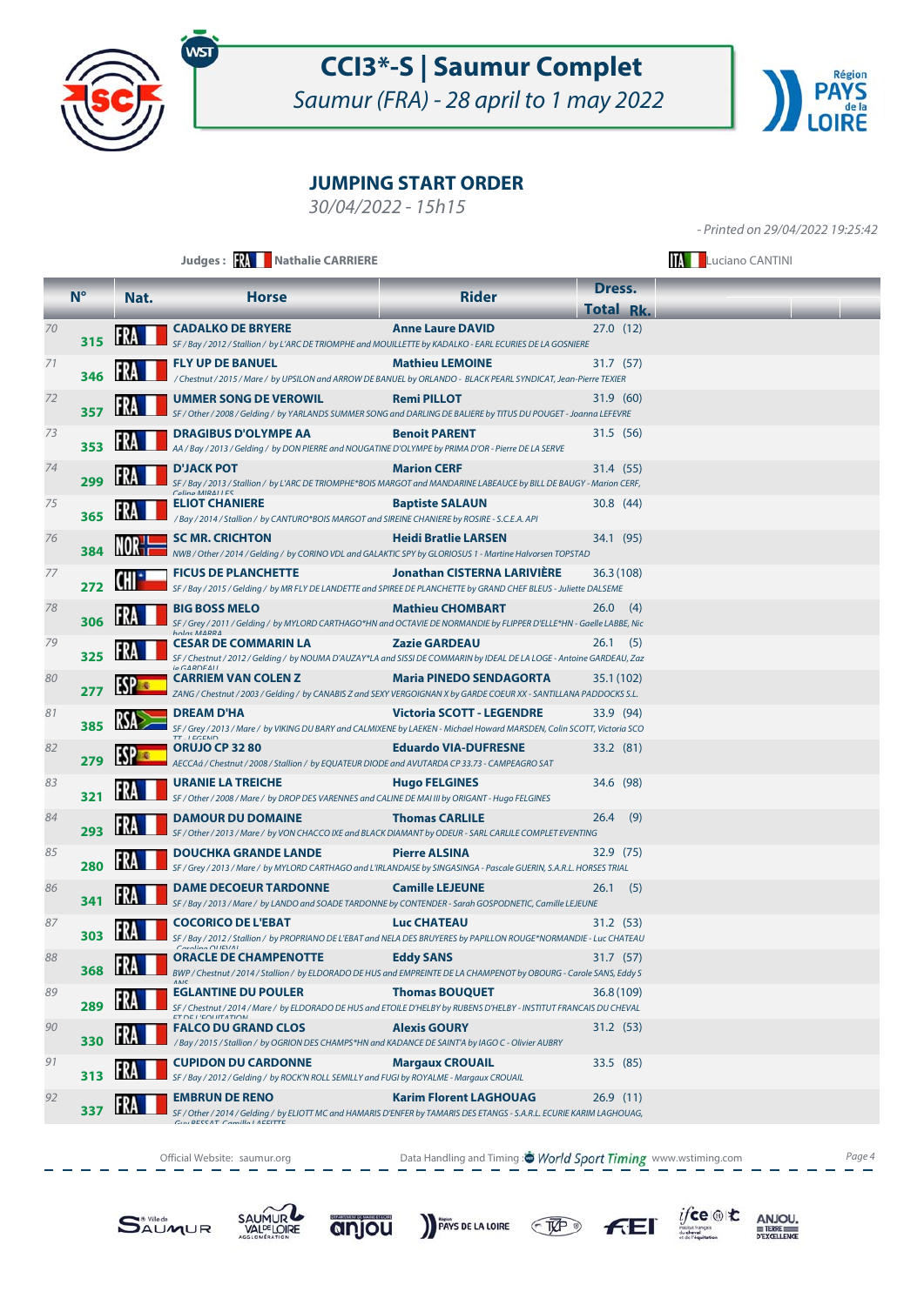

Saumur (FRA) - 28 april to 1 may 2022



#### **JUMPING START ORDER**

30/04/2022 - 15h15

- Printed on 29/04/2022 19:25:42

|          |             |      | Judges: W Nathalie CARRIERE                                                                                                                                                                                                                                                       | <b>TAN Luciano CANTINI</b>                             |                            |  |
|----------|-------------|------|-----------------------------------------------------------------------------------------------------------------------------------------------------------------------------------------------------------------------------------------------------------------------------------|--------------------------------------------------------|----------------------------|--|
|          | $N^{\circ}$ | Nat. | <b>Horse</b>                                                                                                                                                                                                                                                                      | <b>Rider</b>                                           | Dress.<br><b>Total Rk.</b> |  |
| 70       | 315         |      | <b>CADALKO DE BRYERE</b><br>SF / Bay / 2012 / Stallion / by L'ARC DE TRIOMPHE and MOUILLETTE by KADALKO - EARL ECURIES DE LA GOSNIERE                                                                                                                                             | <b>Anne Laure DAVID</b>                                | 27.0(12)                   |  |
| 71       | 346         |      | <b>FLY UP DE BANUEL</b><br>/ Chestnut / 2015 / Mare / by UPSILON and ARROW DE BANUEL by ORLANDO - BLACK PEARL SYNDICAT, Jean-Pierre TEXIER                                                                                                                                        | <b>Mathieu LEMOINE</b>                                 | 31.7(57)                   |  |
| 72       | 357         |      | UMMER SONG DE VEROWIL<br>SF / Other / 2008 / Gelding / by YARLANDS SUMMER SONG and DARLING DE BALIERE by TITUS DU POUGET - Joanna LEFEVRE                                                                                                                                         | <b>Remi PILLOT</b>                                     | 31.9 (60)                  |  |
| 73       | 353         |      | <b>DRAGIBUS D'OLYMPE AA</b><br>AA / Bay / 2013 / Gelding / by DON PIERRE and NOUGATINE D'OLYMPE by PRIMA D'OR - Pierre DE LA SERVE                                                                                                                                                | <b>Benoit PARENT</b>                                   | 31.5 (56)                  |  |
| 74       | 299         |      | <b>D'JACK POT</b><br>SF / Bay / 2013 / Stallion / by L'ARC DE TRIOMPHE*BOIS MARGOT and MANDARINE LABEAUCE by BILL DE BAUGY - Marion CERF,<br>$C}_\text{olina}$ MIRALLES                                                                                                           | <b>Marion CERF</b>                                     | 31.4 (55)                  |  |
| 75       | 365         |      | <b>ELIOT CHANIERE</b><br>/ Bay / 2014 / Stallion / by CANTURO*BOIS MARGOT and SIREINE CHANIERE by ROSIRE - S.C.E.A. API                                                                                                                                                           | <b>Baptiste SALAUN</b>                                 | 30.8(44)                   |  |
| 76       | 384         |      | <b>SC MR. CRICHTON</b><br>NWB / Other / 2014 / Gelding / by CORINO VDL and GALAKTIC SPY by GLORIOSUS 1 - Martine Halvorsen TOPSTAD                                                                                                                                                | <b>Heidi Bratlie LARSEN</b>                            | 34.1 (95)                  |  |
| 77       | 272         |      | <b>FICUS DE PLANCHETTE</b><br>SF / Bay / 2015 / Gelding / by MR FLY DE LANDETTE and SPIREE DE PLANCHETTE by GRAND CHEF BLEUS - Juliette DALSEME                                                                                                                                   | <b>Jonathan CISTERNA LARIVIÈRE</b>                     | 36.3(108)                  |  |
| 78       | 306         |      | <b>BIG BOSS MELO</b><br>SF / Grey / 2011 / Gelding / by MYLORD CARTHAGO*HN and OCTAVIE DE NORMANDIE by FLIPPER D'ELLE*HN - Gaelle LABBE, Nic                                                                                                                                      | <b>Mathieu CHOMBART</b>                                | 26.0<br>(4)                |  |
| 79<br>80 | 325         |      | <b>CESAR DE COMMARIN LA</b><br>SF / Chestnut / 2012 / Gelding / by NOUMA D'AUZAY*LA and SISSI DE COMMARIN by IDEAL DE LA LOGE - Antoine GARDEAU, Zaz<br>$in \triangle AD$<br><b>CARRIEM VAN COLEN Z</b>                                                                           | <b>Zazie GARDEAU</b><br><b>Maria PINEDO SENDAGORTA</b> | $26.1$ (5)                 |  |
| 81       | 277         |      | ZANG / Chestnut / 2003 / Gelding / by CANABIS Z and SEXY VERGOIGNAN X by GARDE COEUR XX - SANTILLANA PADDOCKS S.L.<br><b>DREAM D'HA</b>                                                                                                                                           | <b>Victoria SCOTT - LEGENDRE</b>                       | 35.1 (102)<br>33.9 (94)    |  |
| 82       | 385         |      | SF / Grey / 2013 / Mare / by VIKING DU BARY and CALMIXENE by LAEKEN - Michael Howard MARSDEN, Colin SCOTT, Victoria SCO<br><b>TT I ECENIN</b><br><b>ORUJO CP 32 80</b>                                                                                                            | <b>Eduardo VIA-DUFRESNE</b>                            | 33.2 (81)                  |  |
| 83       | 279         |      | AECCAá / Chestnut / 2008 / Stallion / by EQUATEUR DIODE and AVUTARDA CP 33.73 - CAMPEAGRO SAT<br><b>URANIE LA TREICHE</b>                                                                                                                                                         | <b>Hugo FELGINES</b>                                   | 34.6 (98)                  |  |
| 84       | 321         |      | SF / Other / 2008 / Mare / by DROP DES VARENNES and CALINE DE MAI III by ORIGANT - Hugo FELGINES<br><b>DAMOUR DU DOMAINE</b>                                                                                                                                                      | <b>Thomas CARLILE</b>                                  | $26.4$ (9)                 |  |
| 85       | 293         |      | SF / Other / 2013 / Mare / by VON CHACCO IXE and BLACK DIAMANT by ODEUR - SARL CARLILE COMPLET EVENTING<br><b>DOUCHKA GRANDE LANDE</b>                                                                                                                                            | <b>Pierre ALSINA</b>                                   | 32.9 (75)                  |  |
| 86       | 280         |      | SF / Grey / 2013 / Mare / by MYLORD CARTHAGO and L'IRLANDAISE by SINGASINGA - Pascale GUERIN, S.A.R.L. HORSES TRIAL<br><b>DAME DECOEUR TARDONNE</b>                                                                                                                               | <b>Camille LEJEUNE</b>                                 | $26.1$ (5)                 |  |
| 87       | 341         |      | SF / Bay / 2013 / Mare / by LANDO and SOADE TARDONNE by CONTENDER - Sarah GOSPODNETIC, Camille LEJEUNE<br><b>COCORICO DE L'EBAT</b>                                                                                                                                               | <b>Luc CHATEAU</b>                                     | 31.2 (53)                  |  |
| 88       | 303         |      | SF / Bay / 2012 / Stallion / by PROPRIANO DE L'EBAT and NELA DES BRUYERES by PAPILLON ROUGE*NORMANDIE - Luc CHATEAU<br><b>ORACLE DE CHAMPENOTTE</b>                                                                                                                               | <b>Eddy SANS</b>                                       | 31.7(57)                   |  |
| 89       | 368         |      | BWP / Chestnut / 2014 / Stallion / by ELDORADO DE HUS and EMPREINTE DE LA CHAMPENOT by OBOURG - Carole SANS, Eddy S<br><b>EGLANTINE DU POULER</b>                                                                                                                                 | <b>Thomas BOUQUET</b>                                  | 36.8(109)                  |  |
| 90       | 289         |      | SF / Chestnut / 2014 / Mare / by ELDORADO DE HUS and ETOILE D'HELBY by RUBENS D'HELBY - INSTITUT FRANCAIS DU CHEVAL<br><b><i>ET DE L'EQUITATION</i></b><br><b>FALCO DU GRAND CLOS</b>                                                                                             | <b>Alexis GOURY</b>                                    | 31.2 (53)                  |  |
| 91       | 330<br>313  |      | / Bay / 2015 / Stallion / by OGRION DES CHAMPS*HN and KADANCE DE SAINT'A by IAGO C - Olivier AUBRY<br><b>CUPIDON DU CARDONNE</b>                                                                                                                                                  | <b>Margaux CROUAIL</b>                                 | 33.5 (85)                  |  |
| 92       | 337         |      | SF / Bay / 2012 / Gelding / by ROCK'N ROLL SEMILLY and FUGI by ROYALME - Margaux CROUAIL<br><b>EMBRUN DE RENO</b><br>SF / Other / 2014 / Gelding / by ELIOTT MC and HAMARIS D'ENFER by TAMARIS DES ETANGS - S.A.R.L. ECURIE KARIM LAGHOUAG,<br><b>GIN RESSAT Camilla LAEEITTE</b> | <b>Karim Florent LAGHOUAG</b>                          | 26.9(11)                   |  |

Official Website: saumur.org **Data Handling and Timing : World Sport Timing** www.wstiming.com Page 4







PAYS DE LA LOIRE CHEP



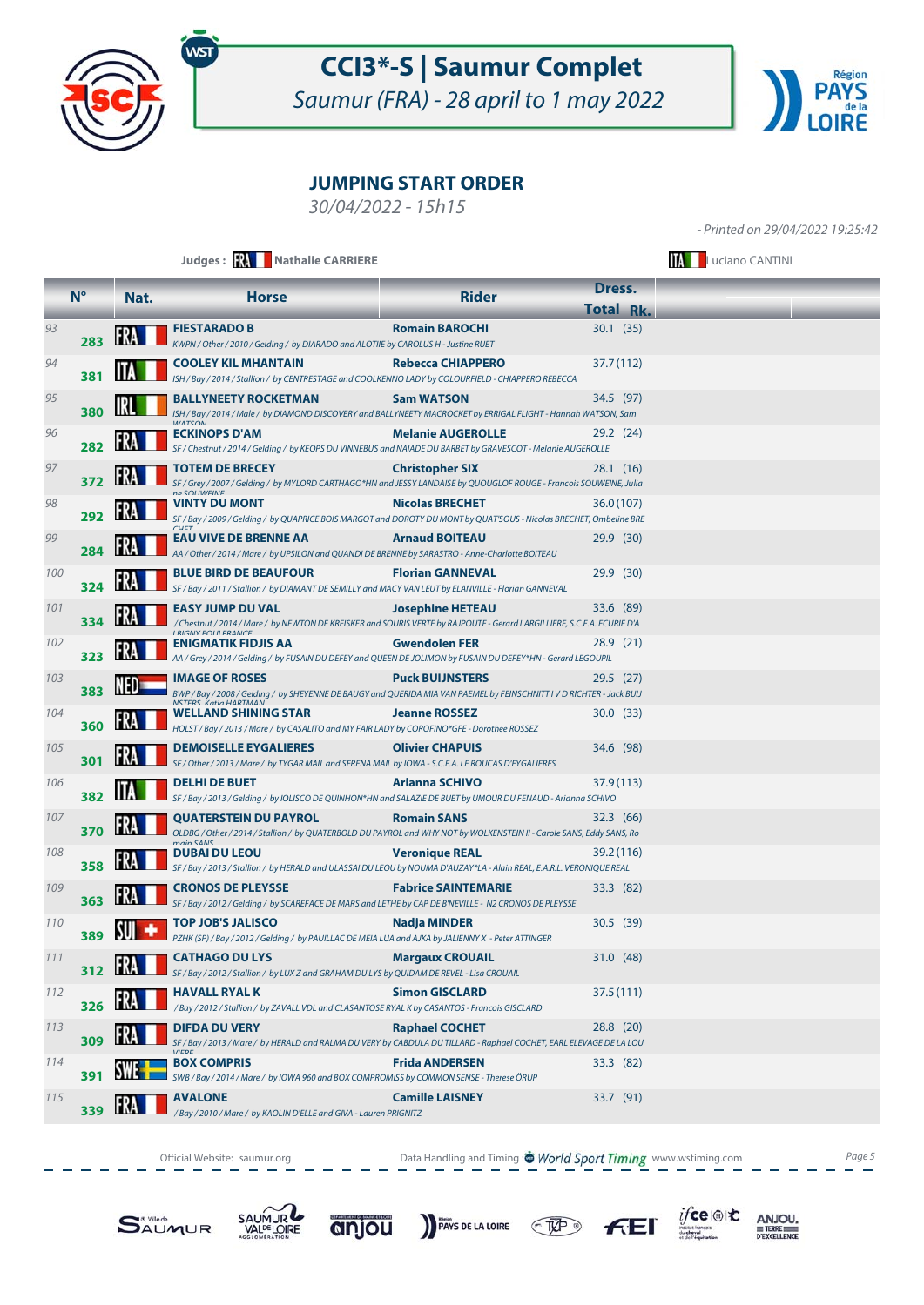

Saumur (FRA) - 28 april to 1 may 2022



### **JUMPING START ORDER**

30/04/2022 - 15h15

- Printed on 29/04/2022 19:25:42

|     |             |      | Judges: <b>WA Nathalie CARRIERE</b>                                                                                                                                               |                            |                  |  |  |
|-----|-------------|------|-----------------------------------------------------------------------------------------------------------------------------------------------------------------------------------|----------------------------|------------------|--|--|
|     | $N^{\circ}$ | Nat. | <b>Horse</b>                                                                                                                                                                      | <b>Rider</b>               | Dress.           |  |  |
|     |             |      |                                                                                                                                                                                   |                            | <b>Total Rk.</b> |  |  |
| 93  | 283         |      | <b>FIESTARADO B</b><br>KWPN / Other / 2010 / Gelding / by DIARADO and ALOTIIE by CAROLUS H - Justine RUET                                                                         | <b>Romain BAROCHI</b>      | 30.1(35)         |  |  |
| 94  | 381         |      | <b>COOLEY KIL MHANTAIN</b><br>ISH / Bay / 2014 / Stallion / by CENTRESTAGE and COOLKENNO LADY by COLOURFIELD - CHIAPPERO REBECCA                                                  | <b>Rebecca CHIAPPERO</b>   | 37.7 (112)       |  |  |
| 95  | 380         |      | <b>BALLYNEETY ROCKETMAN</b><br>ISH / Bay / 2014 / Male / by DIAMOND DISCOVERY and BALLYNEETY MACROCKET by ERRIGAL FLIGHT - Hannah WATSON, Sam                                     | <b>Sam WATSON</b>          | 34.5 (97)        |  |  |
| 96  | 282         |      | <b>ECKINOPS D'AM</b><br>SF / Chestnut / 2014 / Gelding / by KEOPS DU VINNEBUS and NAIADE DU BARBET by GRAVESCOT - Melanie AUGEROLLE                                               | <b>Melanie AUGEROLLE</b>   | 29.2(24)         |  |  |
| 97  | 372         |      | <b>TOTEM DE BRECEY</b><br>SF / Grey / 2007 / Gelding / by MYLORD CARTHAGO*HN and JESSY LANDAISE by QUOUGLOF ROUGE - Francois SOUWEINE, Julia<br>no COLIMEINE                      | <b>Christopher SIX</b>     | 28.1 (16)        |  |  |
| 98  | 292         |      | VINTY DU MONT<br>SF / Bay / 2009 / Gelding / by QUAPRICE BOIS MARGOT and DOROTY DU MONT by QUAT'SOUS - Nicolas BRECHET, Ombeline BRE                                              | <b>Nicolas BRECHET</b>     | 36.0 (107)       |  |  |
| 99  | 284         |      | EAU VIVE DE BRENNE AA<br>AA / Other / 2014 / Mare / by UPSILON and QUANDI DE BRENNE by SARASTRO - Anne-Charlotte BOITEAU                                                          | <b>Arnaud BOITEAU</b>      | 29.9 (30)        |  |  |
| 100 | 324         |      | <b>BLUE BIRD DE BEAUFOUR</b><br>SF / Bay / 2011 / Stallion / by DIAMANT DE SEMILLY and MACY VAN LEUT by ELANVILLE - Florian GANNEVAL                                              | <b>Florian GANNEVAL</b>    | 29.9 (30)        |  |  |
| 101 | 334         |      | <b>EASY JUMP DU VAL</b><br>/ Chestnut / 2014 / Mare / by NEWTON DE KREISKER and SOURIS VERTE by RAJPOUTE - Gerard LARGILLIERE, S.C.E.A. ECURIE D'A<br><b>I DICNIV EOLILEDANCE</b> | <b>Josephine HETEAU</b>    | 33.6 (89)        |  |  |
| 102 | 323         |      | ENIGMATIK FIDJIS AA<br>AA / Grey / 2014 / Gelding / by FUSAIN DU DEFEY and QUEEN DE JOLIMON by FUSAIN DU DEFEY*HN - Gerard LEGOUPIL                                               | <b>Gwendolen FER</b>       | 28.9 (21)        |  |  |
| 103 | 383         |      | <b>IMAGE OF ROSES</b><br>BWP / Bay / 2008 / Gelding / by SHEYENNE DE BAUGY and QUERIDA MIA VAN PAEMEL by FEINSCHNITT I V D RICHTER - Jack BUIJ<br>NICTEDE Vatio HADTMAN           | <b>Puck BUIJNSTERS</b>     | 29.5 (27)        |  |  |
| 104 | 360         |      | WELLAND SHINING STAR<br>HOLST/Bay/2013/Mare/ by CASALITO and MY FAIR LADY by COROFINO*GFE - Dorothee ROSSEZ                                                                       | <b>Jeanne ROSSEZ</b>       | 30.0 (33)        |  |  |
| 105 | 301         |      | <b>DEMOISELLE EYGALIERES</b><br>SF / Other / 2013 / Mare / by TYGAR MAIL and SERENA MAIL by IOWA - S.C.E.A. LE ROUCAS D'EYGALIERES                                                | <b>Olivier CHAPUIS</b>     | 34.6 (98)        |  |  |
| 106 | 382         |      | <b>DELHI DE BUET</b><br>SF / Bay / 2013 / Gelding / by IOLISCO DE QUINHON*HN and SALAZIE DE BUET by UMOUR DU FENAUD - Arianna SCHIVO                                              | <b>Arianna SCHIVO</b>      | 37.9 (113)       |  |  |
| 107 | 370         |      | <b>QUATERSTEIN DU PAYROL</b><br>OLDBG / Other / 2014 / Stallion / by QUATERBOLD DU PAYROL and WHY NOT by WOLKENSTEIN II - Carole SANS, Eddy SANS, Ro<br>main CANIC                | <b>Romain SANS</b>         | 32.3 (66)        |  |  |
| 108 | 358         |      | <b>DUBAI DU LEOU</b><br>SF / Bay / 2013 / Stallion / by HERALD and ULASSAI DU LEOU by NOUMA D'AUZAY*LA - Alain REAL, E.A.R.L. VERONIQUE REAL                                      | <b>Veronique REAL</b>      | 39.2 (116)       |  |  |
| 109 | 363         |      | <b>CRONOS DE PLEYSSE</b><br>SF / Bay / 2012 / Gelding / by SCAREFACE DE MARS and LETHE by CAP DE B'NEVILLE - N2 CRONOS DE PLEYSSE                                                 | <b>Fabrice SAINTEMARIE</b> | 33.3 (82)        |  |  |
| 110 | 389         |      | <b>TOP JOB'S JALISCO</b><br>PZHK (SP) / Bay / 2012 / Gelding / by PAUILLAC DE MEIA LUA and AJKA by JALIENNY X - Peter ATTINGER                                                    | Nadja MINDER               | 30.5 (39)        |  |  |
| 111 | 312         |      | <b>CATHAGO DU LYS</b><br>SF / Bay / 2012 / Stallion / by LUX Z and GRAHAM DU LYS by QUIDAM DE REVEL - Lisa CROUAIL                                                                | <b>Margaux CROUAIL</b>     | 31.0 (48)        |  |  |
| 112 | 326         | FRA  | <b>HAVALL RYAL K</b><br>/Bay/2012/Stallion/ by ZAVALL VDL and CLASANTOSE RYAL K by CASANTOS - Francois GISCLARD                                                                   | <b>Simon GISCLARD</b>      | 37.5 (111)       |  |  |
| 113 | 309         |      | <b>DIFDA DU VERY</b><br>SF / Bay / 2013 / Mare / by HERALD and RALMA DU VERY by CABDULA DU TILLARD - Raphael COCHET, EARL ELEVAGE DE LA LOU                                       | <b>Raphael COCHET</b>      | 28.8 (20)        |  |  |
| 114 | 391         |      | <b>BOX COMPRIS</b><br>SWB / Bay / 2014 / Mare / by IOWA 960 and BOX COMPROMISS by COMMON SENSE - Therese ÖRUP                                                                     | <b>Frida ANDERSEN</b>      | 33.3 (82)        |  |  |
| 115 | 339         |      | <b>AVALONE</b><br>/ Bay / 2010 / Mare / by KAOLIN D'ELLE and GIVA - Lauren PRIGNITZ                                                                                               | <b>Camille LAISNEY</b>     | 33.7 (91)        |  |  |

Official Website: saumur.org **Data Handling and Timing : World Sport Timing** www.wstiming.com Page 5





anjou







ANJOU. TERRE